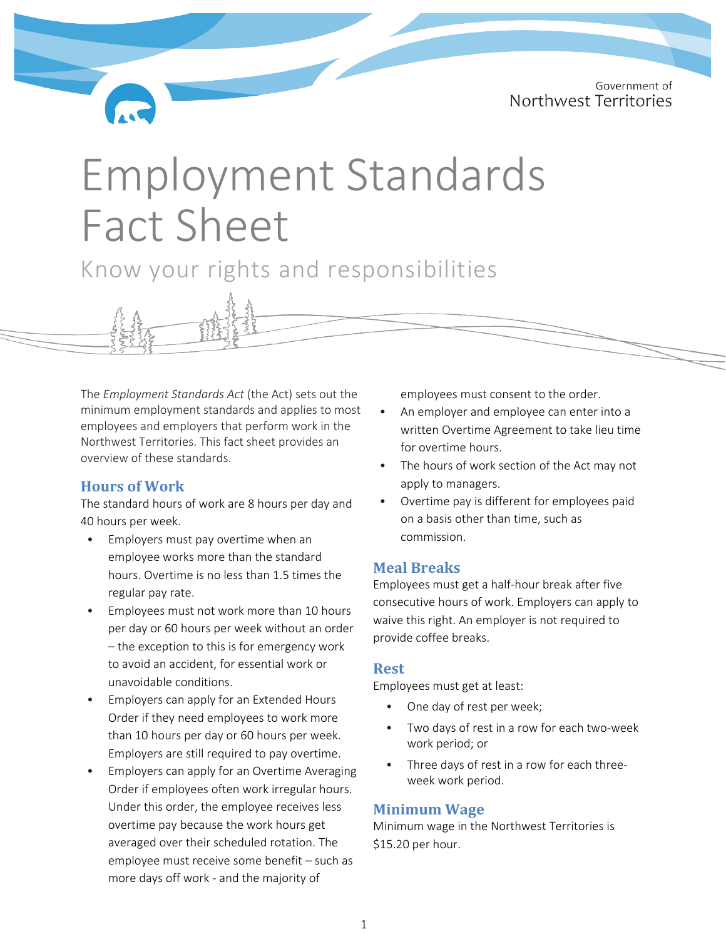Government of Northwest Territories

# Employment Standards Fact Sheet

Know your rights and responsibilities

The *Employment Standards Act* (the Act) sets out the minimum employment standards and applies to most employees and employers that perform work in the Northwest Territories. This fact sheet provides an overview of these standards.

# **Hours of Work**

The standard hours of work are 8 hours per day and 40 hours per week.

- Employers must pay overtime when an employee works more than the standard hours. Overtime is no less than 1.5 times the regular pay rate.
- Employees must not work more than 10 hours per day or 60 hours per week without an order – the exception to this is for emergency work to avoid an accident, for essential work or unavoidable conditions.
- Employers can apply for an Extended Hours Order if they need employees to work more than 10 hours per day or 60 hours per week. Employers are still required to pay overtime.
- Employers can apply for an Overtime Averaging Order if employees often work irregular hours. Under this order, the employee receives less overtime pay because the work hours get averaged over their scheduled rotation. The employee must receive some benefit – such as more days off work - and the majority of

employees must consent to the order.

- An employer and employee can enter into a written Overtime Agreement to take lieu time for overtime hours.
- The hours of work section of the Act may not apply to managers.
- Overtime pay is different for employees paid on a basis other than time, such as commission.

## **Meal Breaks**

Employees must get a half-hour break after five consecutive hours of work. Employers can apply to waive this right. An employer is not required to provide coffee breaks.

#### **Rest**

Employees must get at least:

- One day of rest per week;
- Two days of rest in a row for each two-week work period; or
- Three days of rest in a row for each threeweek work period.

# **Minimum Wage**

Minimum wage in the Northwest Territories is \$15.20 per hour.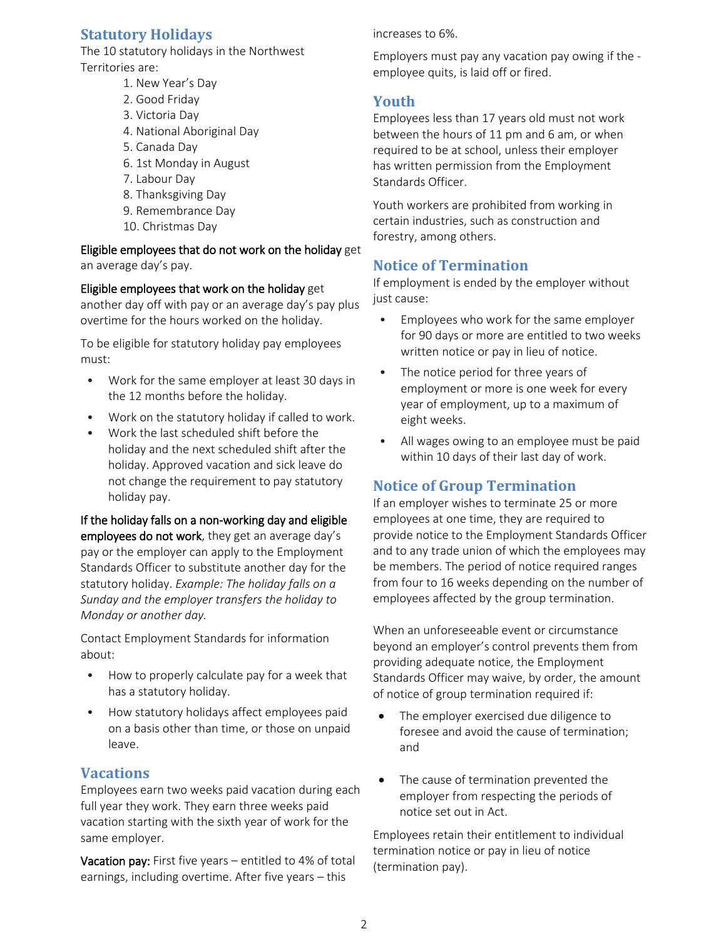# **Statutory Holidays**

The 10 statutory holidays in the Northwest Territories are:

- 1. New Year's Day
- 2. Good Friday
- 3. Victoria Day
- 4. National Aboriginal Day
- 5. Canada Day
- 6. 1st Monday in August
- 7. Labour Day
- 8. Thanksgiving Day
- 9. Remembrance Day
- 10. Christmas Day

Eligible employees that do not work on the holiday get an average day's pay.

Eligible employees that work on the holiday get

another day off with pay or an average day's pay plus overtime for the hours worked on the holiday.

To be eligible for statutory holiday pay employees must:

- Work for the same employer at least 30 days in the 12 months before the holiday.
- Work on the statutory holiday if called to work.
- Work the last scheduled shift before the holiday and the next scheduled shift after the holiday. Approved vacation and sick leave do not change the requirement to pay statutory holiday pay.

If the holiday falls on a non-working day and eligible employees do not work, they get an average day's pay or the employer can apply to the Employment Standards Officer to substitute another day for the statutory holiday. *Example: The holiday falls on a Sunday and the employer transfers the holiday to Monday or another day.*

Contact Employment Standards for information about:

- How to properly calculate pay for a week that has a statutory holiday.
- How statutory holidays affect employees paid on a basis other than time, or those on unpaid leave.

# **Vacations**

Employees earn two weeks paid vacation during each full year they work. They earn three weeks paid vacation starting with the sixth year of work for the same employer.

Vacation pay: First five years – entitled to 4% of total earnings, including overtime. After five years – this

increases to 6%.

Employers must pay any vacation pay owing if the employee quits, is laid off or fired.

# **Youth**

Employees less than 17 years old must not work between the hours of 11 pm and 6 am, or when required to be at school, unless their employer has written permission from the Employment Standards Officer.

Youth workers are prohibited from working in certain industries, such as construction and forestry, among others.

# **Notice of Termination**

If employment is ended by the employer without just cause:

- Employees who work for the same employer for 90 days or more are entitled to two weeks written notice or pay in lieu of notice.
- The notice period for three years of employment or more is one week for every year of employment, up to a maximum of eight weeks.
- All wages owing to an employee must be paid within 10 days of their last day of work.

# **Notice of Group Termination**

If an employer wishes to terminate 25 or more employees at one time, they are required to provide notice to the Employment Standards Officer and to any trade union of which the employees may be members. The period of notice required ranges from four to 16 weeks depending on the number of employees affected by the group termination.

When an unforeseeable event or circumstance beyond an employer's control prevents them from providing adequate notice, the Employment Standards Officer may waive, by order, the amount of notice of group termination required if:

- The employer exercised due diligence to foresee and avoid the cause of termination; and
- The cause of termination prevented the employer from respecting the periods of notice set out in Act.

Employees retain their entitlement to individual termination notice or pay in lieu of notice (termination pay).